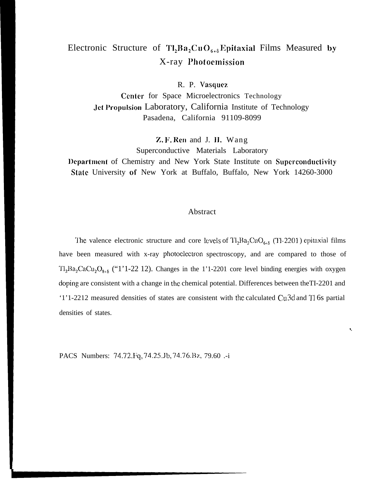## Electronic Structure of  $T_2Ba_2CuO_{6+8}Epiaxial$  Films Measured by X-ray Photocmission

R. P. Vasquez

Center for Space Microelectronics Technology Jet Propulsion Laboratory, California Institute of Technology Pasadena, California 91109-8099

Z. F. Ren and J. H. Wang

Superconductive Materials Laboratory Department of Chemistry and New York State Institute on Superconductivity State University of New York at Buffalo, Buffalo, New York 14260-3000

## Abstract

The valence electronic structure and core levels of  $T_{2}Ba_{2}CuO_{6+8}$  (Tl-2201) epitaxial films have been measured with x-ray photoelectron spectroscopy, and are compared to those of  $Tl_2Ba_2CaCu_2O_{8+8}$  ("1'1-22 12). Changes in the 1'1-2201 core level binding energies with oxygen doping are consistent with a change in the chemical potential. Differences between theTI-2201 and '1'1-2212 measured densities of states are consistent with the calculated Cu 3d and Tl 6s partial densities of states.

 $\boldsymbol{\mathcal{L}}$ 

PACS Numbers: 74.72.Fq, 74.25.Jb, 74.76.Bz, 79.60 .-i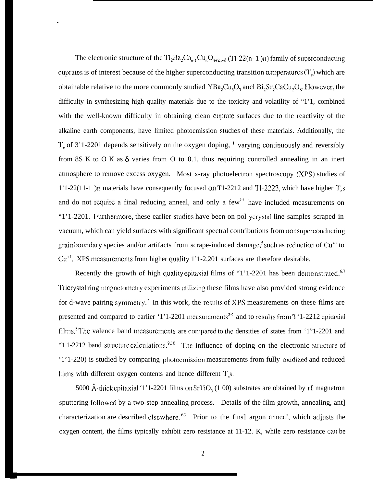The electronic structure of the  $Tl_2Ba_2Ca_{n+1}Cu_nO_{4+2n+6}$  (Tl-22(n- 1 )n) family of superconducting cuprates is of interest because of the higher superconducting transition temperatures  $(T<sub>s</sub>)$  which are obtainable relative to the more commonly studied  $YBa<sub>2</sub>Cu<sub>3</sub>O<sub>7</sub>$  ancl  $Bi<sub>2</sub>Sr<sub>2</sub>CaCu<sub>2</sub>O<sub>8</sub>$ . However, the difficulty in synthesizing high quality materials due to the toxicity and volatility of "1'1, combined with the well-known difficulty in obtaining clean cuprate surfaces due to the reactivity of the alkaline earth components, have limited photocmission studies of these materials. Additionally, the  $T_c$  of 3'1-2201 depends sensitively on the oxygen doping, <sup>1</sup> varying continuously and reversibly from 8S K to O K as  $\delta$  varies from O to 0.1, thus requiring controlled annealing in an inert atmosphere to remove excess oxygen. Most x-ray photoelectron spectroscopy (XPS) studies of  $1'1-22(11-1)$  in materials have consequently focused on T1-2212 and Tl-2223, which have higher T<sub>s</sub> and do not require a final reducing anneal, and only a few<sup> $2-4$ </sup> have included measurements on "1'1-2201. Furthermore, these earlier studies have been on pol ycrystal line samples scraped in vacuum, which can yield surfaces with significant spectral contributions from nonsuperconducting grain boundary species and/or artifacts from scrape-induced damage,<sup>5</sup> such as reduction of Cu<sup>+2</sup> to  $Cu<sup>+1</sup>$ . XPS measurements from higher quality 1'1-2,201 surfaces are therefore desirable.

.

Recently the growth of high quality epitaxial films of "1'1-2201 has been demonstrated.<sup>6,7</sup> Tricrystal ring magnetometry experiments utilizing these films have also provided strong evidence for d-wave pairing symmetry.<sup>7</sup> In this work, the results of XPS measurements on these films are presented and compared to earlier '1'1-2201 measurements<sup>24</sup> and to results from  $T$  '1-2212 epitaxial films.<sup>8</sup>The valence band measurements are compared to the densities of states from '1"1-2201 and "11-2212 band structure calculations.<sup>9,10</sup> The influence of doping on the electronic structure of '1'1-220) is studied by comparing photocmission measurements from fully oxiclized and reduced films with different oxygen contents and hence different  $T_s$ s.

5000 Å-thick epitaxial '1'1-2201 films on SrTiO<sub>3</sub> (1 00) substrates are obtained by rf magnetron sputtering followed by a two-step annealing process. Details of the film growth, annealing, ant] characterization are described elsewhere.<sup>6,7</sup> Prior to the fins] argon anneal, which adjusts the oxygen content, the films typically exhibit zero resistance at 11-12. K, while zero resistance can be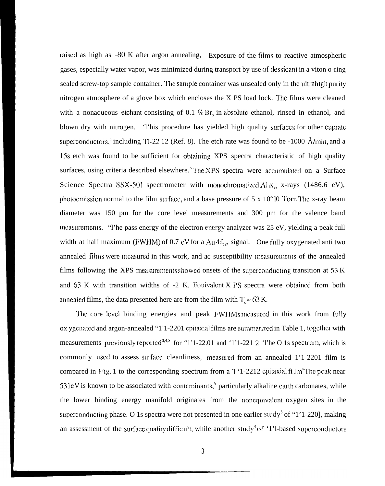raised as high as -80 K after argon annealing, Exposure of the films to reactive atmospheric gases, especially water vapor, was minimized during transport by use of dessicant in a viton o-ring sealed screw-top sample container. The sample container was unsealed only in the ultrahigh purity nitrogen atmosphere of a glove box which encloses the  $X$  PS load lock. The films were cleaned with a nonaqueous etchant consisting of 0.1 %  $Br<sub>2</sub>$  in absolute ethanol, rinsed in ethanol, and blown dry with nitrogen. 'l'his procedure has yielded high quality surfaces for other cuprate superconductors,<sup>5</sup> including Tl-22 12 (Ref. 8). The etch rate was found to be -1000 Å/min, and a 15s etch was found to be sufficient for obtaining XPS spectra characteristic of high quality surfaces, using criteria described elsewhere.<sup>5</sup>The XPS spectra were accumulated on a Surface Science Spectra SSX-501 spectrometer with monochromatized Al  $K_{\alpha}$  x-rays (1486.6 eV), photoemission normal to the film surface, and a base pressure of  $5 \times 10^{\circ}$ ]0 Torr. The x-ray beam diameter was 150 pm for the core level measurements and 300 pm for the valence band measurements. "I'he pass energy of the electron energy analyzer was  $25 \text{ eV}$ , yielding a peak full width at half maximum (FWHM) of 0.7 eV for a Au  $4f_{7/2}$  signal. One full y oxygenated anti two annealed films were measured in this work, and ac susceptibility measurements of the annealed films following the XPS measurements showed onsets of the superconducting transition at  $53 K$ and  $63$  K with transition widths of  $-2$  K. Equivalent X PS spectra were obtained from both annealed films, the data presented here are from the film with  $T_c = 63$  K.

The core level binding energies and peak FWHMs measured in this work from fully ox ygenated and argon-annealed " $1<sup>1</sup>1$ -2201 epitaxial films are summarized in Table 1, together with measurements previously reported<sup>3,4,8</sup> for "1'1-22.01 and '1'1-221 2. '1'he O 1s spectrum, which is commonly used to assess surface cleanliness, measured from an annealed 1'1-2201 film is compared in Fig. 1 to the corresponding spectrum from a  $\frac{1}{1}$  '1-2212 epitaxial fi lm<sup>\*</sup>The peak near 531 eV is known to be associated with contaminants,<sup>5</sup> particularly alkaline earth carbonates, while the lower binding energy manifold originates from the nonequivalent oxygen sites in the superconducting phase. O 1s spectra were not presented in one earlier study<sup>3</sup> of "1'1-220], making an assessment of the surface quality diffic ult, while another study<sup>4</sup> of '1'l-based superconductors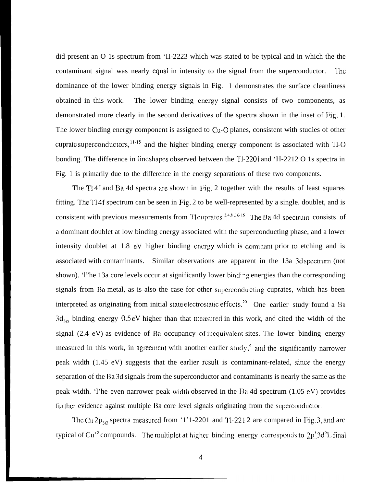did present an O 1s spectrum from 'II-2223 which was stated to be typical and in which the the contaminant signal was nearly equal in intensity to the signal from the superconductor. The dominance of the lower binding energy signals in Fig. 1 demonstrates the surface cleanliness obtained in this work. The lower binding energy signal consists of two components, as demonstrated more clearly in the second derivatives of the spectra shown in the inset of Fig. 1. The lower binding energy component is assigned to Cu-O planes, consistent with studies of other cuprate superconductors,  $\frac{11-15}{11}$  and the higher binding energy component is associated with Tl-O bonding. The difference in lineshapes observed between the T1-2201 and 'H-2212 O 1s spectra in Fig. 1 is primarily due to the difference in the energy separations of these two components.

The T<sub>1</sub> 4f and Ba 4d spectra are shown in  $\overline{1}$  ig. 2 together with the results of least squares fitting. The T14f spectrum can be seen in Fig. 2 to be well-represented by a single. doublet, and is consistent with previous measurements from Tl cuprates.<sup>3,4,8,16-19</sup> The Ba 4d spectrum consists of a dominant doublet at low binding energy associated with the superconducting phase, and a lower intensity doublet at 1.8 eV higher binding energy which is dominant prior to etching and is associated with contaminants. Similar observations are apparent in the 13a 3d spectrum (not shown). 'l''he 13a core levels occur at significantly lower binding energies than the corresponding signals from Ba metal, as is also the case for other superconducting cuprates, which has been interpreted as originating from initial state electrostatic effects.<sup>20</sup> One earlier study<sup>3</sup>found a Ba  $3d_{5/2}$  binding energy 0.5 eV higher than that measured in this work, and cited the width of the signal (2.4 eV) as evidence of Ba occupancy of inequivalent sites. The lower binding energy measured in this work, in agreement with another earlier study,<sup>4</sup> and the significantly narrower peak width (1.45 eV) suggests that the earlier result is contaminant-related, since the energy separation of the Ba 3d signals from the superconductor and contaminants is nearly the same as the peak width. 'l'he even narrower peak wiclth observed in the Ba 4d spectrum (1.05 eV) provides further evidence against multiple Ba core level signals originating from the superconductor.

The Cu  $2p_{3/2}$  spectra measured from '1'1-2201 and Tl-2212 are compared in Fig. 3, and arc typical of Cu<sup>+2</sup> compounds. The multiplet at higher binding energy corresponds to  $2p<sup>5</sup>3d<sup>9</sup>L$  final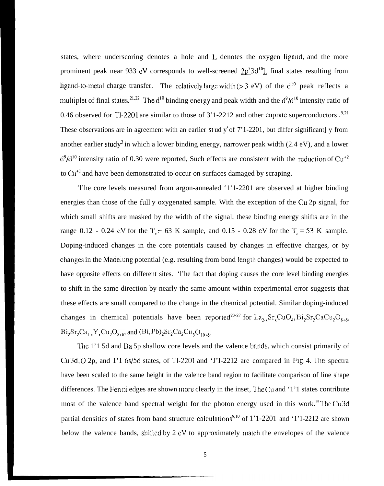states, where underscoring denotes a hole and 1. denotes the oxygen ligand, and the more prominent peak near 933 eV corresponds to well-screened  $2p^53d^{10}$ . final states resulting from ligand-to-metal charge transfer. The relatively large width (> 3 eV) of the  $d^{10}$  peak reflects a multiplet of final states.<sup>21,22</sup> The d<sup>10</sup> binding energy and peak width and the d<sup>9</sup>/d<sup>10</sup> intensity ratio of 0.46 observed for Tl-2201 are similar to those of  $3'1$ -2212 and other cuprate superconductors.<sup>5,21</sup> These observations are in agreement with an earlier st ud  $y^4$  of 7'1-2201, but differ significant] y from another earlier study<sup>3</sup> in which a lower binding energy, narrower peak width  $(2.4 \text{ eV})$ , and a lower  $d^{9}/d^{10}$  intensity ratio of 0.30 were reported, Such effects are consistent with the reduction of Cu<sup>+2</sup> to Cu<sup>+1</sup> and have been demonstrated to occur on surfaces damaged by scraping.

'l'he core levels measured from argon-annealed '1'1-2201 are observed at higher binding energies than those of the full y oxygenated sample. With the exception of the Cu 2p signal, for which small shifts are masked by the width of the signal, these binding energy shifts are in the range 0.12 - 0.24 eV for the  $T_c = 63$  K sample, and 0.15 - 0.28 eV for the  $T_c = 53$  K sample. Doping-induced changes in the core potentials caused by changes in effective charges, or by changes in the Madelung potential (e.g. resulting from bond length changes) would be expected to have opposite effects on different sites. 'l'he fact that doping causes the core level binding energies to shift in the same direction by nearly the same amount within experimental error suggests that these effects are small compared to the change in the chemical potential. Similar doping-induced changes in chemical potentials have been reported<sup>23-27</sup> for  $La_{2x}Sr_xCuO_4$ ,  $Bi_2Sr_2CaCu_2O_{8+8}$ ,  $Bi_2Sr_2Ca_{1-x}Y_xCu_2O_{8+8}$ , and  $(Bi, Pb)_2Sr_2Ca_2Cu_3O_{10+8}$ 

The 1'1 5d and Ba 5p shallow core levels and the valence bands, which consist primarily of Cu3d, O 2p, and 1'1 6s/5d states, of Tl-2201 and 'J'I-2212 are compared in Fig. 4. The spectra have been scaled to the same height in the valence band region to facilitate comparison of line shape differences. The Fermi edges are shown more clearly in the inset, The Cu and '1'1 states contribute most of the valence band spectral weight for the photon energy used in this work.<sup>28</sup>The Cu3d partial densities of states from band structure calculations<sup>9,10</sup> of  $1'1$ -2201 and '1'1-2212 are shown below the valence bands, shifted by  $2 \text{ eV}$  to approximately match the envelopes of the valence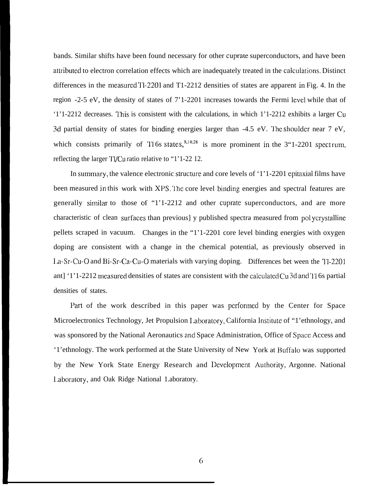bands. Similar shifts have been found necessary for other cuprate superconductors, and have been attributed to electron correlation effects which are inadequately treated in the calculations. Distinct differences in the measured Tl-2201 and  $T1-2212$  densities of states are apparent in Fig. 4. In the region -2-5 eV, the density of states of 7'1-2201 increases towards the Fermi level while that of '1'1-2212 decreases. q'his is consistent with the calculations, in which 1'1-2212 exhibits a larger Cu 3d partial density of states for binding energies larger than  $-4.5$  eV. The shoulder near 7 eV, which consists primarily of  $T1$  6s states,<sup>9,10,28</sup> is more prominent in the 3"1-2201 spect rum, reflecting the larger Tl/Cu ratio relative to "1'1-22 12.

In summary, the valence electronic structure and core levels of  $1'1$ -2201 epitaxial films have been measured in this work with XPS. The core level binding energies and spectral features are generally similar to those of "1'1-2212 and other cuprate superconductors, and are more characteristic of clean surfaces than previous] y published spectra measured from pol ycrystalline pellets scraped in vacuum. Changes in the "1'1-2201 core level binding energies with oxygen doping are consistent with a change in the chemical potential, as previously observed in 1.a-Sr-Cu-0 and Bi-Sr-Ca-Cu-O materials with varying doping. Differences bet ween the T1-2201 ant] '1'1-2212 measured densities of states are consistent with the calculated Cu3d and T16s partial densities of states.

Part of the work described in this paper was performed by the Center for Space Microelectronics Technology, Jet Propulsion Laboratory, California Institute of "1'ethnology, and was sponsored by the National Aeronautics and Space Administration, Office of Space Access and '1'ethnology. The work performed at the State University of New York at Buffalo was supported by the New York State Energy Research and Development Authority, Argonne. National 1,aboratory, and Oak Ridge National 1.aboratory.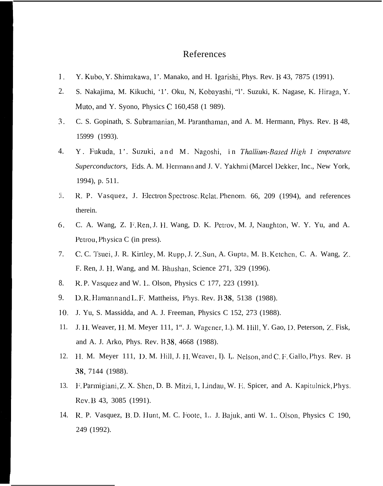## References

- 1. Y. Kubo, Y. Shimakawa, 1'. Manako, and H. Igarishi, Phys. Rev. B 43, 7875 (1991).
- 2. S. Nakajima, M. Kikuchi, '1'. Oku, N, Kobayashi, 'T'. Suzuki, K. Nagase, K. Hiraga, Y. Muto, and Y. Syono, Physics C 160,458 (1 989).
- $3.$ C. S. Gopinath, S. Subramanian, M. Paranthaman, and A. M. Hermann, Phys. Rev. B 48, 15999 (1993).
- $\overline{4}$ . Y. Fukuda, 1'. Suzuki, and M. Nagoshi, in Thallium-Based High 1 emperature Superconductors, Eds. A. M. Hermann and J. V. Yakhmi (Marcel Dekker, Inc., New York, 1994), p. 511.
- $\ddot{.}$ R. P. Vasquez, J. Electron Spectrosc. Relat. Phenom. 66, 209 (1994), and references therein.
- 6. C. A. Wang, Z. F. Ren, J. H. Wang, D. K. Petrov, M. J. Naughton, W. Y. Yu, and A. Petrou, Physica C (in press).
- 7. C. C. Tsuei, J. R. Kirtley, M. Rupp, J. Z. Sun, A. Gupta, M. B. Ketchen, C. A. Wang, Z. F. Ren, J. H. Wang, and M. Bhushan, Science 271, 329 (1996).
- 8. R.P. Vasquez and W. L. Olson, Physics C 177, 223 (1991).
- 9. D.R. Hamann and L.F. Mattheiss, Phys. Rev. B38, 5138 (1988).
- $10<sub>1</sub>$ J. Yu, S. Massidda, and A. J. Freeman, Physics C 152, 273 (1988).
- $11.$ J. H. Weaver, H. M. Meyer 111, 1". J. Wagener, 1.). M. Hill, Y. Gao, D. Peterson, Z. Fisk, and A. J. Arko, Phys. Rev. B 38, 4668 (1988).
- 12. H. M. Meyer 111, D. M. Hill, J. H. Weaver, I). I. Nelson, and C. F. Gallo, Phys. Rev. B 38, 7144 (1988).
- 13. F. Parmigiani, Z. X. Shen, D. B. Mitzi, 1, Lindau, W. E. Spicer, and A. Kapitulnick, Phys. Rev. B 43, 3085 (1991).
- 14. R. P. Vasquez, B. D. Hunt, M. C. Foote, 1.. J. Bajuk, anti W. 1.. Olson, Physics C 190, 249 (1992).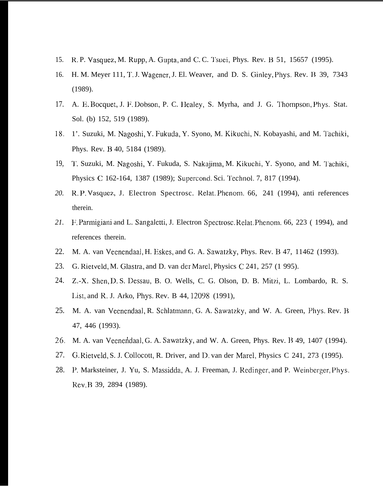- 15. R. P. Vasquez, M. Rupp, A. Gupta, and C. C. Tsuei, Phys. Rev. B 51, 15657 (1995).
- 16. H. M. Meyer 111, T. J. Wagener, J. El. Weaver, and D. S. Ginley, Phys. Rev. B 39, 7343 (1989).
- 17. A. E. Bocquet, J. F. Dobson, P. C. llealey, S. Myrha, and J. G. I'hompson, Phys. Stat. Sol. (b) 152, 519 (1989).
- 18. 1'. Suzuki, M. Nagoshi, Y. Fukuda, Y. Syono, M. Kikuchi, N. Kobayashi, and M. Tachiki, Phys. Rev. B 40, 5184 (1989).
- 19, T. Suzuki, M. Nagoshi, Y. Fukuda, S. Nakajima, M. Kikuchi, Y. Syono, and M. Tachiki, Physics C 162-164, 1387 (1989); Supercond. Sci. Technol. 7, 817 (1994).
- *20.* R. P. Vasquez,, J. Electron Spectrosc. Relat. Phenom. 66, 241 (1994), anti references therein.
- *21.* F. Parmigiani and L. Sangaletti, J. Electron Spectrosc. Relat. Phenorm 66, 223 ( 1994), and references therein.
- 22. M. A. van Veenendaal, H. Eskes, and G. A. Sawatzky, Phys. Rev. B 47, 11462 (1993).
- 23. G. Rietveld, M. Glastra, and D. van der Marel, Physics C 241, 257 (1 995).
- 24. Z.-X. Shen, D. S. Dessau, B. O. Wells, C. G. Olson, D. B. Mitzi, L. Lombardo, R. S. List, and R. J. Arko, *Phys. Rev. B 44, 12098* (1991),
- 25. M. A. van Veenendaal, R. Schlatmann, G. A. Sawatzky, and W. A. Green, Phys. Rev. B 47, 446 (1993).
- 26, M. A. van Veeneridaal, G. A. Sawatzky, and W. A. Green, Phys. Rev. B 49, 1407 (1994).
- 27. G. Rietveld, S. J. Collocott, R. Driver, and D. van der Marel, Physics C 241, 273 (1995).
- 28. P. Marksteiner, J. Yu, S. Massidda, A. J. Freeman, J. Redinger, and P. Weinberger, Phys. ReV. R 39, 2894 (1989).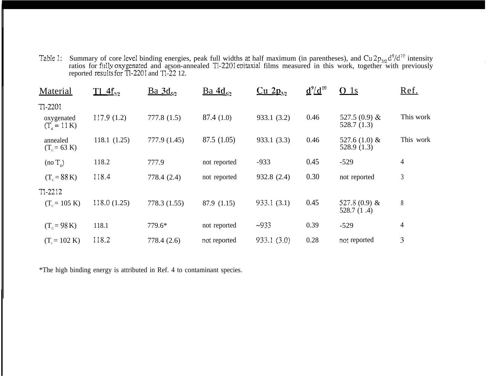Table 1: Summary of core level binding energies, peak full widths at half maximum (in parentheses), and  $Cu 2p_{3a} d^{9}/d^{10}$  intensity ratios for fully oxygenated and arson-annealed Tl-2201 epitaxial films measured in this work, together with previously

| reported results for TI-2201 and TI-22 12. |               |                  |                    |               |              |                                  |                |
|--------------------------------------------|---------------|------------------|--------------------|---------------|--------------|----------------------------------|----------------|
| Material                                   | $T1.4f_{7/2}$ | $Ba \, 3d_{5/2}$ | $Ba \frac{4d}{52}$ | $Cu 2p_{3/2}$ | $d^9/d^{10}$ | O <sub>1s</sub>                  | Ref.           |
| $T1-2201$                                  |               |                  |                    |               |              |                                  |                |
| oxygenated<br>$(T_{\rm c} = 11 \,\rm K)$   | 117.9(1.2)    | 777.8(1.5)       | 87.4(1.0)          | 933.1 (3.2)   | 0.46         | 527.5 $(0.9)$ &<br>528.7(1.3)    | This work      |
| annealed<br>$(T_c = 63 \text{ K})$         | 118.1 (1.25)  | 777.9 (1.45)     | 87.5 (1.05)        | 933.1 (3.3)   | 0.46         | 527.6 $(1.0)$ &<br>528.9(1.3)    | This work      |
| $(no T_{c})$                               | 118.2         | 777.9            | not reported       | $-933$        | 0.45         | $-529$                           | $\overline{4}$ |
| $(T_c = 88 \text{ K})$                     | 118.4         | 778.4 (2.4)      | not reported       | 932.8(2.4)    | 0.30         | not reported                     | 3              |
| $T1-2212$                                  |               |                  |                    |               |              |                                  |                |
| $(T_c = 105 \text{ K})$                    | 118.0(1.25)   | 778.3 (1.55)     | 87.9 (1.15)        | 933.1(3.1)    | 0.45         | 527.8 $(0.9)$ &<br>528.7 $(1.4)$ | 8              |
| $(T_c = 98 \text{ K})$                     | 118.1         | 779.6*           | not reported       | $-933$        | 0.39         | $-529$                           | $\overline{4}$ |
| $(T_e = 102 \text{ K})$                    | 118.2         | 778.4 (2.6)      | not reported       | 933.1 (3.0)   | 0.28         | not reported                     | 3              |

\*The high binding energy is attributed in Ref. 4 to contaminant species.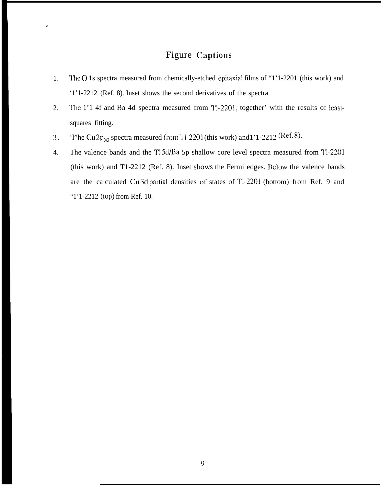## Figure Captions

- 1. The O 1s spectra measured from chemically-etched epitaxial films of "1'1-2201 (this work) and '1'1-2212 (Ref. 8). Inset shows the second derivatives of the spectra.
- 2. "l'he 1'1 4f and Ba 4d spectra measured from T1-2201, together' with the results of leastsquares fitting.
- 3. 'l''he Cu  $2p_{3p}$  spectra measured from Tl-2201 (this work) and 1'1-2212 (Ref. 8).
- 4. The valence bands and the Tl 5d/Ba 5p shallow core level spectra measured from Tl-2201 (this work) and  $T1-2212$  (Ref. 8). Inset shows the Fermi edges. Below the valence bands are the calculated Cu 3d partial densities of states of Tl-2201 (bottom) from Ref. 9 and "1'1-2212 (top) from Ref. 10.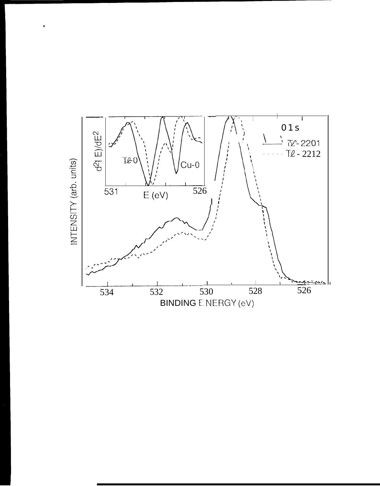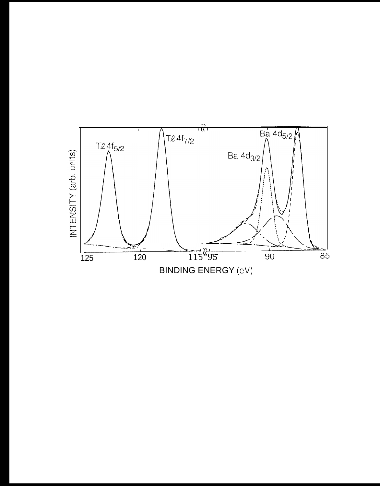